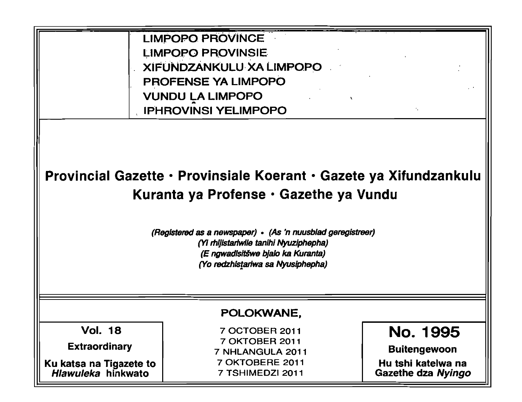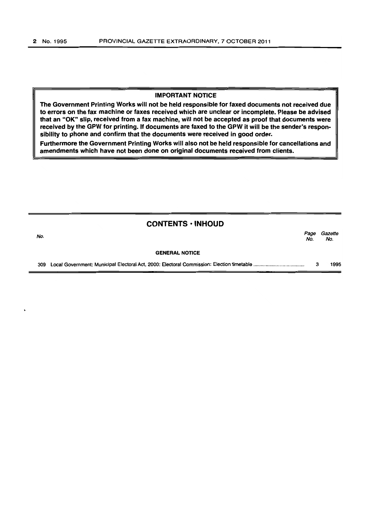#### IMPORTANT NOTICE

The Government Printing Works will not be held responsible for faxed documents not received due to errors on the fax machine or faxes received which are unclear or incomplete. Please be advised that an "OK" slip, received from a fax machine, will not be accepted as proof that documents were received by the GPW for printing. If documents are faxed to the GPW it will be the sender's responsibility to phone and confirm that the documents were received in good order.

Furthermore the Government Printing Works will also not be held responsible for cancellations and amendments which have not been done on original documents received from clients.

| No. | <b>CONTENTS · INHOUD</b> | Page<br>No. | Gazette<br>No. |
|-----|--------------------------|-------------|----------------|
|     | <b>GENERAL NOTICE</b>    |             |                |
| 309 |                          | з           | 1995           |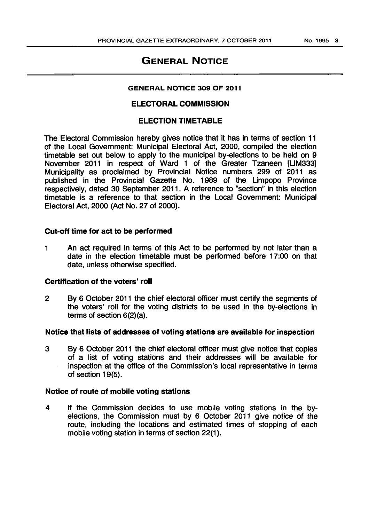# GENERAL NOTICE

## GENERAL NOTICE 309 OF 2011

# ELECTORAL COMMISSION

# ELECTION TIMETABLE

The Electoral Commission hereby gives notice that it has in terms of section 11 of the Local Government: Municipal Electoral Act, 2000, compiled the election timetable set out below to apply to the municipal by-elections to be held on 9 November 2011 in respect of Ward 1 of the Greater Tzaneen [LlM333] Municipality as proclaimed by Provincial Notice numbers 299 of 2011 as published in the Provincial Gazette No. 1989 of the Limpopo Province respectively, dated 30 September 2011. A reference to "section" in this election timetable is a reference to that section in the Local Government: Municipal Electoral Act, 2000 (Act No. 27 of 2000).

# Cut-off time for act to be performed

1 An act required in terms of this Act to be performed by not later than a date in the election timetable must be performed before 17:00 on that date, unless otherwise specified.

## Certification of the voters' roll

2 By 6 October 2011 the chief electoral officer must certify the segments of the voters' roll for the voting districts to be used in the by-elections in terms of section 6(2)(a).

# Notice that lists of addresses of voting stations are available for inspection

3 By 6 October 2011 the chief electoral officer must give notice that copies of a list of voting stations and their addresses will be available for inspection at the office of the Commission's local representative in terms of section 19(5).

#### Notice of route of mobile voting stations

4 If the Commission decides to use mobile voting stations in the byelections, the Commission must by 6 October 2011 give notice of the route, including the locations and estimated times of stopping of each mobile voting station in terms of section 22(1).